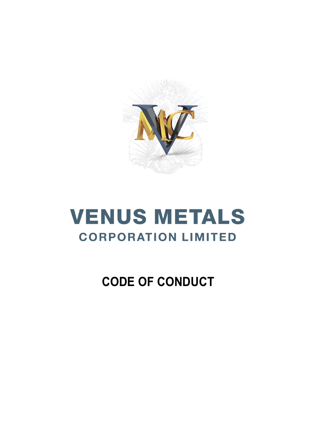

# **VENUS METALS CORPORATION LIMITED**

# **CODE OF CONDUCT**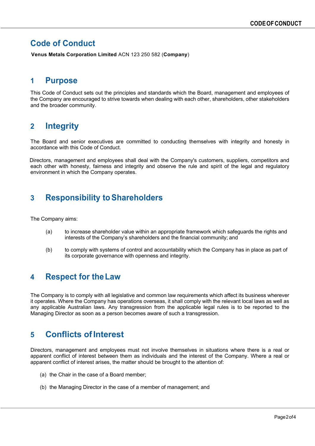#### **Code of Conduct**

**Venus Metals Corporation Limited** ACN 123 250 582 (**Company**)

#### **1 Purpose**

This Code of Conduct sets out the principles and standards which the Board, management and employees of the Company are encouraged to strive towards when dealing with each other, shareholders, other stakeholders and the broader community.

# **2 Integrity**

The Board and senior executives are committed to conducting themselves with integrity and honesty in accordance with this Code of Conduct.

Directors, management and employees shall deal with the Company's customers, suppliers, competitors and each other with honesty, fairness and integrity and observe the rule and spirit of the legal and regulatory environment in which the Company operates.

#### **3 Responsibility toShareholders**

The Company aims:

- (a) to increase shareholder value within an appropriate framework which safeguards the rights and interests of the Company's shareholders and the financial community; and
- (b) to comply with systems of control and accountability which the Company has in place as part of its corporate governance with openness and integrity.

#### **4 Respect for theLaw**

The Company is to comply with all legislative and common law requirements which affect its business wherever it operates. Where the Company has operations overseas, it shall comply with the relevant local laws as well as any applicable Australian laws. Any transgression from the applicable legal rules is to be reported to the Managing Director as soon as a person becomes aware of such a transgression.

# **5 Conflicts ofInterest**

Directors, management and employees must not involve themselves in situations where there is a real or apparent conflict of interest between them as individuals and the interest of the Company. Where a real or apparent conflict of interest arises, the matter should be brought to the attention of:

- (a) the Chair in the case of a Board member;
- (b) the Managing Director in the case of a member of management; and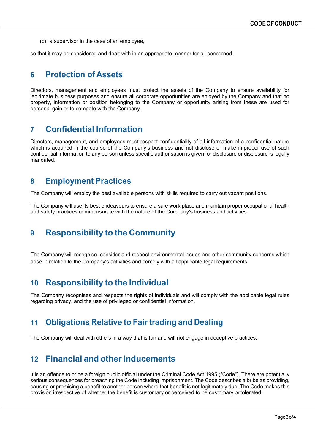(c) a supervisor in the case of an employee,

so that it may be considered and dealt with in an appropriate manner for all concerned.

# **6 Protection of Assets**

Directors, management and employees must protect the assets of the Company to ensure availability for legitimate business purposes and ensure all corporate opportunities are enjoyed by the Company and that no property, information or position belonging to the Company or opportunity arising from these are used for personal gain or to compete with the Company.

# **7 Confidential Information**

Directors, management, and employees must respect confidentiality of all information of a confidential nature which is acquired in the course of the Company's business and not disclose or make improper use of such confidential information to any person unless specific authorisation is given for disclosure or disclosure is legally mandated.

#### **8 Employment Practices**

The Company will employ the best available persons with skills required to carry out vacant positions.

The Company will use its best endeavours to ensure a safe work place and maintain proper occupational health and safety practices commensurate with the nature of the Company's business and activities.

# **9 Responsibility to the Community**

The Company will recognise, consider and respect environmental issues and other community concerns which arise in relation to the Company's activities and comply with all applicable legal requirements.

#### **10 Responsibility to the Individual**

The Company recognises and respects the rights of individuals and will comply with the applicable legal rules regarding privacy, and the use of privileged or confidential information.

# **11 Obligations Relative to Fair trading and Dealing**

The Company will deal with others in a way that is fair and will not engage in deceptive practices.

# **12 Financial and otherinducements**

It is an offence to bribe a foreign public official under the Criminal Code Act 1995 ("Code"). There are potentially serious consequences for breaching the Code including imprisonment. The Code describes a bribe as providing, causing or promising a benefit to another person where that benefit is not legitimately due. The Code makes this provision irrespective of whether the benefit is customary or perceived to be customary or tolerated.